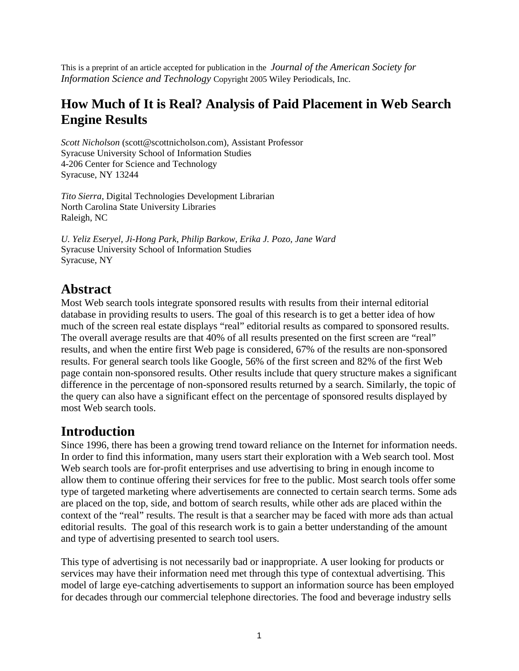This is a preprint of an article accepted for publication in the *Journal of the American Society for Information Science and Technology* Copyright 2005 Wiley Periodicals, Inc.

### **How Much of It is Real? Analysis of Paid Placement in Web Search Engine Results**

*Scott Nicholson* (scott@scottnicholson.com), Assistant Professor Syracuse University School of Information Studies 4-206 Center for Science and Technology Syracuse, NY 13244

*Tito Sierra*, Digital Technologies Development Librarian North Carolina State University Libraries Raleigh, NC

*U. Yeliz Eseryel, Ji-Hong Park, Philip Barkow, Erika J. Pozo, Jane Ward* Syracuse University School of Information Studies Syracuse, NY

### **Abstract**

Most Web search tools integrate sponsored results with results from their internal editorial database in providing results to users. The goal of this research is to get a better idea of how much of the screen real estate displays "real" editorial results as compared to sponsored results. The overall average results are that 40% of all results presented on the first screen are "real" results, and when the entire first Web page is considered, 67% of the results are non-sponsored results. For general search tools like Google, 56% of the first screen and 82% of the first Web page contain non-sponsored results. Other results include that query structure makes a significant difference in the percentage of non-sponsored results returned by a search. Similarly, the topic of the query can also have a significant effect on the percentage of sponsored results displayed by most Web search tools.

### **Introduction**

Since 1996, there has been a growing trend toward reliance on the Internet for information needs. In order to find this information, many users start their exploration with a Web search tool. Most Web search tools are for-profit enterprises and use advertising to bring in enough income to allow them to continue offering their services for free to the public. Most search tools offer some type of targeted marketing where advertisements are connected to certain search terms. Some ads are placed on the top, side, and bottom of search results, while other ads are placed within the context of the "real" results. The result is that a searcher may be faced with more ads than actual editorial results. The goal of this research work is to gain a better understanding of the amount and type of advertising presented to search tool users.

This type of advertising is not necessarily bad or inappropriate. A user looking for products or services may have their information need met through this type of contextual advertising. This model of large eye-catching advertisements to support an information source has been employed for decades through our commercial telephone directories. The food and beverage industry sells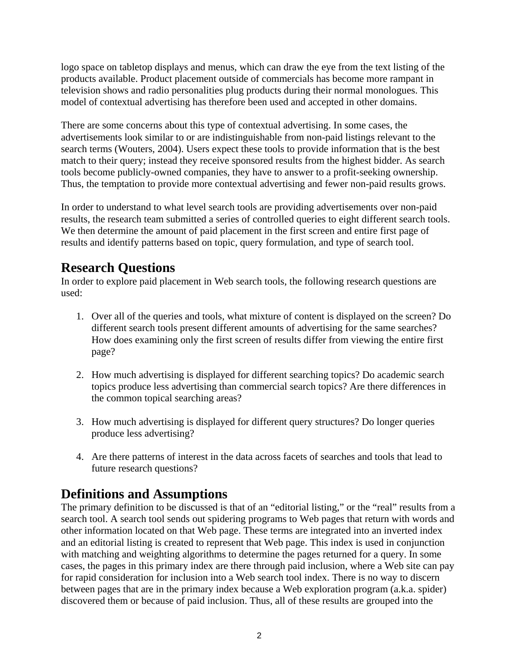logo space on tabletop displays and menus, which can draw the eye from the text listing of the products available. Product placement outside of commercials has become more rampant in television shows and radio personalities plug products during their normal monologues. This model of contextual advertising has therefore been used and accepted in other domains.

There are some concerns about this type of contextual advertising. In some cases, the advertisements look similar to or are indistinguishable from non-paid listings relevant to the search terms (Wouters, 2004). Users expect these tools to provide information that is the best match to their query; instead they receive sponsored results from the highest bidder. As search tools become publicly-owned companies, they have to answer to a profit-seeking ownership. Thus, the temptation to provide more contextual advertising and fewer non-paid results grows.

In order to understand to what level search tools are providing advertisements over non-paid results, the research team submitted a series of controlled queries to eight different search tools. We then determine the amount of paid placement in the first screen and entire first page of results and identify patterns based on topic, query formulation, and type of search tool.

## **Research Questions**

In order to explore paid placement in Web search tools, the following research questions are used:

- 1. Over all of the queries and tools, what mixture of content is displayed on the screen? Do different search tools present different amounts of advertising for the same searches? How does examining only the first screen of results differ from viewing the entire first page?
- 2. How much advertising is displayed for different searching topics? Do academic search topics produce less advertising than commercial search topics? Are there differences in the common topical searching areas?
- 3. How much advertising is displayed for different query structures? Do longer queries produce less advertising?
- 4. Are there patterns of interest in the data across facets of searches and tools that lead to future research questions?

## **Definitions and Assumptions**

The primary definition to be discussed is that of an "editorial listing," or the "real" results from a search tool. A search tool sends out spidering programs to Web pages that return with words and other information located on that Web page. These terms are integrated into an inverted index and an editorial listing is created to represent that Web page. This index is used in conjunction with matching and weighting algorithms to determine the pages returned for a query. In some cases, the pages in this primary index are there through paid inclusion, where a Web site can pay for rapid consideration for inclusion into a Web search tool index. There is no way to discern between pages that are in the primary index because a Web exploration program (a.k.a. spider) discovered them or because of paid inclusion. Thus, all of these results are grouped into the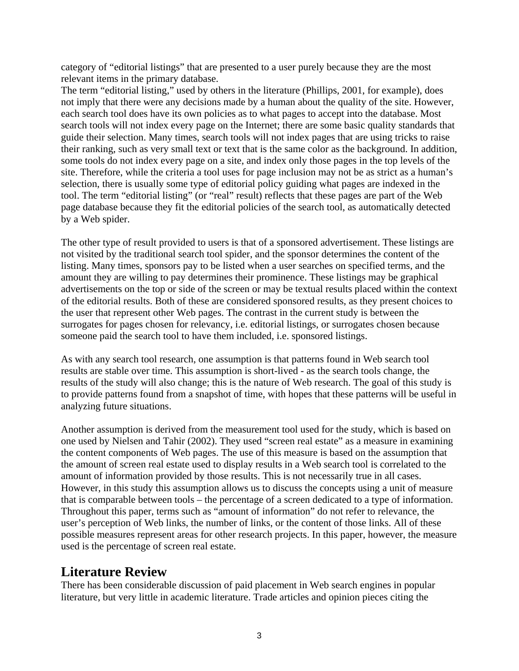category of "editorial listings" that are presented to a user purely because they are the most relevant items in the primary database.

The term "editorial listing," used by others in the literature (Phillips, 2001, for example), does not imply that there were any decisions made by a human about the quality of the site. However, each search tool does have its own policies as to what pages to accept into the database. Most search tools will not index every page on the Internet; there are some basic quality standards that guide their selection. Many times, search tools will not index pages that are using tricks to raise their ranking, such as very small text or text that is the same color as the background. In addition, some tools do not index every page on a site, and index only those pages in the top levels of the site. Therefore, while the criteria a tool uses for page inclusion may not be as strict as a human's selection, there is usually some type of editorial policy guiding what pages are indexed in the tool. The term "editorial listing" (or "real" result) reflects that these pages are part of the Web page database because they fit the editorial policies of the search tool, as automatically detected by a Web spider.

The other type of result provided to users is that of a sponsored advertisement. These listings are not visited by the traditional search tool spider, and the sponsor determines the content of the listing. Many times, sponsors pay to be listed when a user searches on specified terms, and the amount they are willing to pay determines their prominence. These listings may be graphical advertisements on the top or side of the screen or may be textual results placed within the context of the editorial results. Both of these are considered sponsored results, as they present choices to the user that represent other Web pages. The contrast in the current study is between the surrogates for pages chosen for relevancy, i.e. editorial listings, or surrogates chosen because someone paid the search tool to have them included, i.e. sponsored listings.

As with any search tool research, one assumption is that patterns found in Web search tool results are stable over time. This assumption is short-lived - as the search tools change, the results of the study will also change; this is the nature of Web research. The goal of this study is to provide patterns found from a snapshot of time, with hopes that these patterns will be useful in analyzing future situations.

Another assumption is derived from the measurement tool used for the study, which is based on one used by Nielsen and Tahir (2002). They used "screen real estate" as a measure in examining the content components of Web pages. The use of this measure is based on the assumption that the amount of screen real estate used to display results in a Web search tool is correlated to the amount of information provided by those results. This is not necessarily true in all cases. However, in this study this assumption allows us to discuss the concepts using a unit of measure that is comparable between tools – the percentage of a screen dedicated to a type of information. Throughout this paper, terms such as "amount of information" do not refer to relevance, the user's perception of Web links, the number of links, or the content of those links. All of these possible measures represent areas for other research projects. In this paper, however, the measure used is the percentage of screen real estate.

### **Literature Review**

There has been considerable discussion of paid placement in Web search engines in popular literature, but very little in academic literature. Trade articles and opinion pieces citing the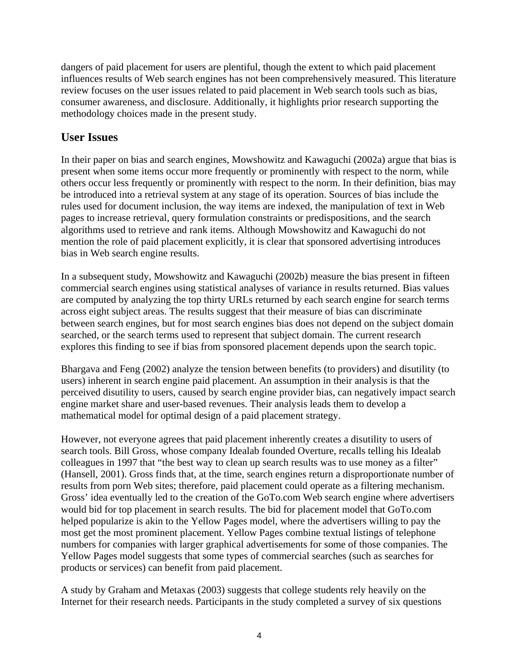dangers of paid placement for users are plentiful, though the extent to which paid placement influences results of Web search engines has not been comprehensively measured. This literature review focuses on the user issues related to paid placement in Web search tools such as bias, consumer awareness, and disclosure. Additionally, it highlights prior research supporting the methodology choices made in the present study.

### **User Issues**

In their paper on bias and search engines, Mowshowitz and Kawaguchi (2002a) argue that bias is present when some items occur more frequently or prominently with respect to the norm, while others occur less frequently or prominently with respect to the norm. In their definition, bias may be introduced into a retrieval system at any stage of its operation. Sources of bias include the rules used for document inclusion, the way items are indexed, the manipulation of text in Web pages to increase retrieval, query formulation constraints or predispositions, and the search algorithms used to retrieve and rank items. Although Mowshowitz and Kawaguchi do not mention the role of paid placement explicitly, it is clear that sponsored advertising introduces bias in Web search engine results.

In a subsequent study, Mowshowitz and Kawaguchi (2002b) measure the bias present in fifteen commercial search engines using statistical analyses of variance in results returned. Bias values are computed by analyzing the top thirty URLs returned by each search engine for search terms across eight subject areas. The results suggest that their measure of bias can discriminate between search engines, but for most search engines bias does not depend on the subject domain searched, or the search terms used to represent that subject domain. The current research explores this finding to see if bias from sponsored placement depends upon the search topic.

Bhargava and Feng (2002) analyze the tension between benefits (to providers) and disutility (to users) inherent in search engine paid placement. An assumption in their analysis is that the perceived disutility to users, caused by search engine provider bias, can negatively impact search engine market share and user-based revenues. Their analysis leads them to develop a mathematical model for optimal design of a paid placement strategy.

However, not everyone agrees that paid placement inherently creates a disutility to users of search tools. Bill Gross, whose company Idealab founded Overture, recalls telling his Idealab colleagues in 1997 that "the best way to clean up search results was to use money as a filter" (Hansell, 2001). Gross finds that, at the time, search engines return a disproportionate number of results from porn Web sites; therefore, paid placement could operate as a filtering mechanism. Gross' idea eventually led to the creation of the GoTo.com Web search engine where advertisers would bid for top placement in search results. The bid for placement model that GoTo.com helped popularize is akin to the Yellow Pages model, where the advertisers willing to pay the most get the most prominent placement. Yellow Pages combine textual listings of telephone numbers for companies with larger graphical advertisements for some of those companies. The Yellow Pages model suggests that some types of commercial searches (such as searches for products or services) can benefit from paid placement.

A study by Graham and Metaxas (2003) suggests that college students rely heavily on the Internet for their research needs. Participants in the study completed a survey of six questions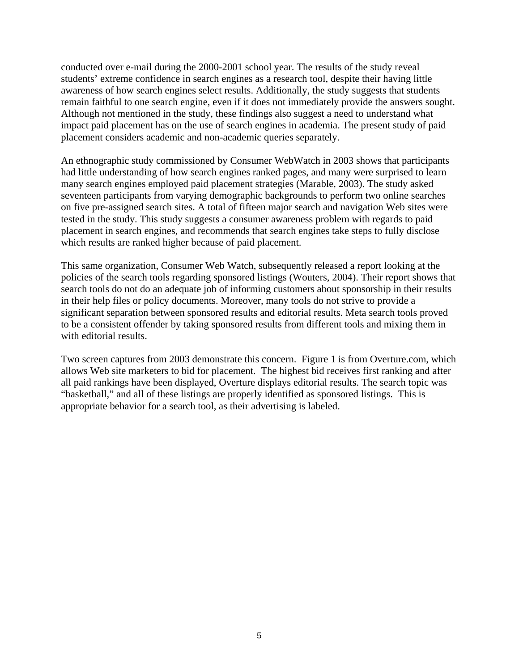conducted over e-mail during the 2000-2001 school year. The results of the study reveal students' extreme confidence in search engines as a research tool, despite their having little awareness of how search engines select results. Additionally, the study suggests that students remain faithful to one search engine, even if it does not immediately provide the answers sought. Although not mentioned in the study, these findings also suggest a need to understand what impact paid placement has on the use of search engines in academia. The present study of paid placement considers academic and non-academic queries separately.

An ethnographic study commissioned by Consumer WebWatch in 2003 shows that participants had little understanding of how search engines ranked pages, and many were surprised to learn many search engines employed paid placement strategies (Marable, 2003). The study asked seventeen participants from varying demographic backgrounds to perform two online searches on five pre-assigned search sites. A total of fifteen major search and navigation Web sites were tested in the study. This study suggests a consumer awareness problem with regards to paid placement in search engines, and recommends that search engines take steps to fully disclose which results are ranked higher because of paid placement.

This same organization, Consumer Web Watch, subsequently released a report looking at the policies of the search tools regarding sponsored listings (Wouters, 2004). Their report shows that search tools do not do an adequate job of informing customers about sponsorship in their results in their help files or policy documents. Moreover, many tools do not strive to provide a significant separation between sponsored results and editorial results. Meta search tools proved to be a consistent offender by taking sponsored results from different tools and mixing them in with editorial results.

Two screen captures from 2003 demonstrate this concern. Figure 1 is from Overture.com, which allows Web site marketers to bid for placement. The highest bid receives first ranking and after all paid rankings have been displayed, Overture displays editorial results. The search topic was "basketball," and all of these listings are properly identified as sponsored listings. This is appropriate behavior for a search tool, as their advertising is labeled.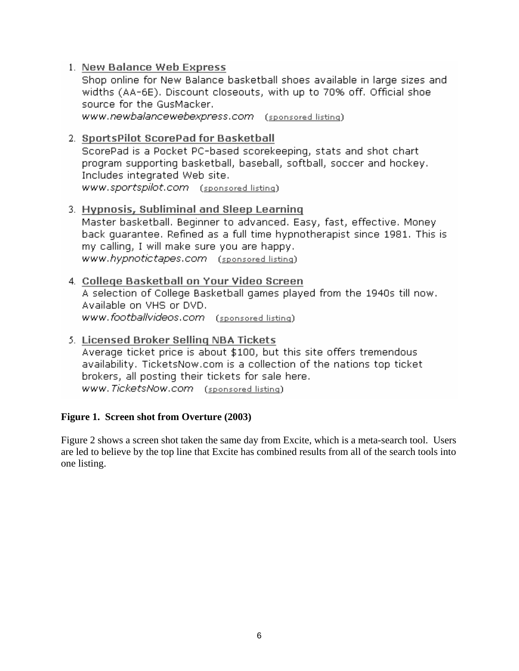#### 1. New Balance Web Express

Shop online for New Balance basketball shoes available in large sizes and widths (AA-6E). Discount closeouts, with up to 70% off. Official shoe source for the GusMacker.

www.newbalancewebexpress.com (sponsored listing)

#### 2. SportsPilot ScorePad for Basketball

ScorePad is a Pocket PC-based scorekeeping, stats and shot chart program supporting basketball, baseball, softball, soccer and hockey. Includes integrated Web site. www.sportspilot.com (sponsored listing)

#### 3. Hypnosis, Subliminal and Sleep Learning

Master basketball. Beginner to advanced. Easy, fast, effective. Money back quarantee. Refined as a full time hypnotherapist since 1981. This is my calling, I will make sure you are happy. www.hypnotictapes.com (sponsored listing)

#### 4. College Basketball on Your Video Screen

A selection of College Basketball games played from the 1940s till now. Available on VHS or DVD. www.footballvideos.com (sponsored listing)

### 5. Licensed Broker Selling NBA Tickets

Average ticket price is about \$100, but this site offers tremendous availability. TicketsNow.com is a collection of the nations top ticket brokers, all posting their tickets for sale here. www.TicketsNow.com (sponsored listing)

#### **Figure 1. Screen shot from Overture (2003)**

Figure 2 shows a screen shot taken the same day from Excite, which is a meta-search tool. Users are led to believe by the top line that Excite has combined results from all of the search tools into one listing.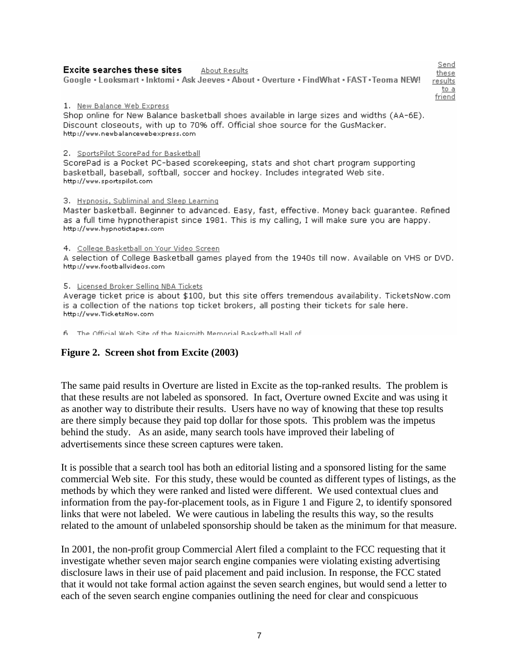#### **Excite searches these sites** About Results

Google · Looksmart · Inktomi · Ask Jeeves · About · Overture · FindWhat · FAST · Teoma NEW!

results to a friend

Send

these

#### 1. New Balance Web Express

Shop online for New Balance basketball shoes available in large sizes and widths (AA-6E). Discount closeouts, with up to 70% off. Official shoe source for the GusMacker. http://www.newbalancewebexpress.com

#### 2. SportsPilot ScorePad for Basketball

ScorePad is a Pocket PC-based scorekeeping, stats and shot chart program supporting basketball, baseball, softball, soccer and hockey. Includes integrated Web site. http://www.sportspilot.com

#### 3. Hypnosis, Subliminal and Sleep Learning

Master basketball. Beginner to advanced. Easy, fast, effective. Money back guarantee. Refined as a full time hypnotherapist since 1981. This is my calling, I will make sure you are happy. http://www.hypnotictapes.com

#### 4. College Basketball on Your Video Screen

A selection of College Basketball games played from the 1940s till now. Available on VHS or DVD. http://www.footballvideos.com

#### 5. Licensed Broker Selling NBA Tickets

Average ticket price is about \$100, but this site offers tremendous availability. TicketsNow.com is a collection of the nations top ticket brokers, all posting their tickets for sale here. http://www.TicketsNow.com

6 The Official Web Site of the Naismith Memorial Baskethall Hall of

#### **Figure 2. Screen shot from Excite (2003)**

The same paid results in Overture are listed in Excite as the top-ranked results. The problem is that these results are not labeled as sponsored. In fact, Overture owned Excite and was using it as another way to distribute their results. Users have no way of knowing that these top results are there simply because they paid top dollar for those spots. This problem was the impetus behind the study. As an aside, many search tools have improved their labeling of advertisements since these screen captures were taken.

It is possible that a search tool has both an editorial listing and a sponsored listing for the same commercial Web site. For this study, these would be counted as different types of listings, as the methods by which they were ranked and listed were different. We used contextual clues and information from the pay-for-placement tools, as in Figure 1 and Figure 2, to identify sponsored links that were not labeled. We were cautious in labeling the results this way, so the results related to the amount of unlabeled sponsorship should be taken as the minimum for that measure.

In 2001, the non-profit group Commercial Alert filed a complaint to the FCC requesting that it investigate whether seven major search engine companies were violating existing advertising disclosure laws in their use of paid placement and paid inclusion. In response, the FCC stated that it would not take formal action against the seven search engines, but would send a letter to each of the seven search engine companies outlining the need for clear and conspicuous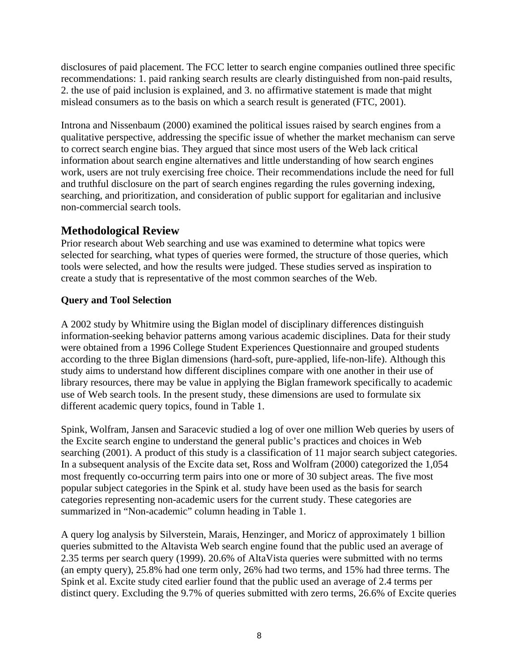disclosures of paid placement. The FCC letter to search engine companies outlined three specific recommendations: 1. paid ranking search results are clearly distinguished from non-paid results, 2. the use of paid inclusion is explained, and 3. no affirmative statement is made that might mislead consumers as to the basis on which a search result is generated (FTC, 2001).

Introna and Nissenbaum (2000) examined the political issues raised by search engines from a qualitative perspective, addressing the specific issue of whether the market mechanism can serve to correct search engine bias. They argued that since most users of the Web lack critical information about search engine alternatives and little understanding of how search engines work, users are not truly exercising free choice. Their recommendations include the need for full and truthful disclosure on the part of search engines regarding the rules governing indexing, searching, and prioritization, and consideration of public support for egalitarian and inclusive non-commercial search tools.

### **Methodological Review**

Prior research about Web searching and use was examined to determine what topics were selected for searching, what types of queries were formed, the structure of those queries, which tools were selected, and how the results were judged. These studies served as inspiration to create a study that is representative of the most common searches of the Web.

#### **Query and Tool Selection**

A 2002 study by Whitmire using the Biglan model of disciplinary differences distinguish information-seeking behavior patterns among various academic disciplines. Data for their study were obtained from a 1996 College Student Experiences Questionnaire and grouped students according to the three Biglan dimensions (hard-soft, pure-applied, life-non-life). Although this study aims to understand how different disciplines compare with one another in their use of library resources, there may be value in applying the Biglan framework specifically to academic use of Web search tools. In the present study, these dimensions are used to formulate six different academic query topics, found in Table 1.

Spink, Wolfram, Jansen and Saracevic studied a log of over one million Web queries by users of the Excite search engine to understand the general public's practices and choices in Web searching (2001). A product of this study is a classification of 11 major search subject categories. In a subsequent analysis of the Excite data set, Ross and Wolfram (2000) categorized the 1,054 most frequently co-occurring term pairs into one or more of 30 subject areas. The five most popular subject categories in the Spink et al. study have been used as the basis for search categories representing non-academic users for the current study. These categories are summarized in "Non-academic" column heading in Table 1.

A query log analysis by Silverstein, Marais, Henzinger, and Moricz of approximately 1 billion queries submitted to the Altavista Web search engine found that the public used an average of 2.35 terms per search query (1999). 20.6% of AltaVista queries were submitted with no terms (an empty query), 25.8% had one term only, 26% had two terms, and 15% had three terms. The Spink et al. Excite study cited earlier found that the public used an average of 2.4 terms per distinct query. Excluding the 9.7% of queries submitted with zero terms, 26.6% of Excite queries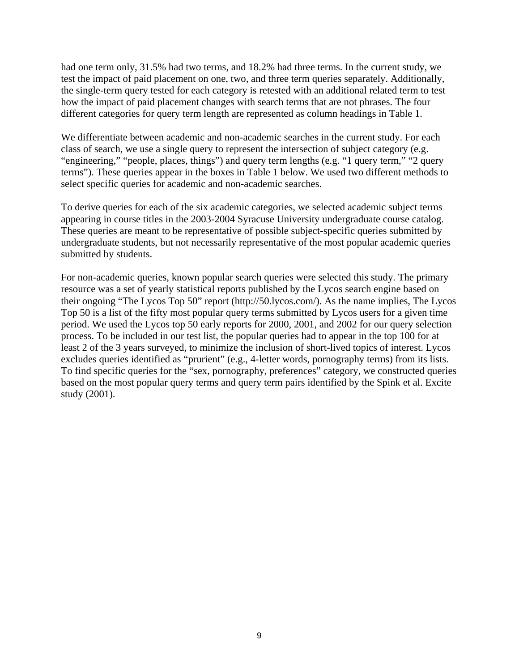had one term only, 31.5% had two terms, and 18.2% had three terms. In the current study, we test the impact of paid placement on one, two, and three term queries separately. Additionally, the single-term query tested for each category is retested with an additional related term to test how the impact of paid placement changes with search terms that are not phrases. The four different categories for query term length are represented as column headings in Table 1.

We differentiate between academic and non-academic searches in the current study. For each class of search, we use a single query to represent the intersection of subject category (e.g. "engineering," "people, places, things") and query term lengths (e.g. "1 query term," "2 query terms"). These queries appear in the boxes in Table 1 below. We used two different methods to select specific queries for academic and non-academic searches.

To derive queries for each of the six academic categories, we selected academic subject terms appearing in course titles in the 2003-2004 Syracuse University undergraduate course catalog. These queries are meant to be representative of possible subject-specific queries submitted by undergraduate students, but not necessarily representative of the most popular academic queries submitted by students.

For non-academic queries, known popular search queries were selected this study. The primary resource was a set of yearly statistical reports published by the Lycos search engine based on their ongoing "The Lycos Top 50" report (http://50.lycos.com/). As the name implies, The Lycos Top 50 is a list of the fifty most popular query terms submitted by Lycos users for a given time period. We used the Lycos top 50 early reports for 2000, 2001, and 2002 for our query selection process. To be included in our test list, the popular queries had to appear in the top 100 for at least 2 of the 3 years surveyed, to minimize the inclusion of short-lived topics of interest. Lycos excludes queries identified as "prurient" (e.g., 4-letter words, pornography terms) from its lists. To find specific queries for the "sex, pornography, preferences" category, we constructed queries based on the most popular query terms and query term pairs identified by the Spink et al. Excite study (2001).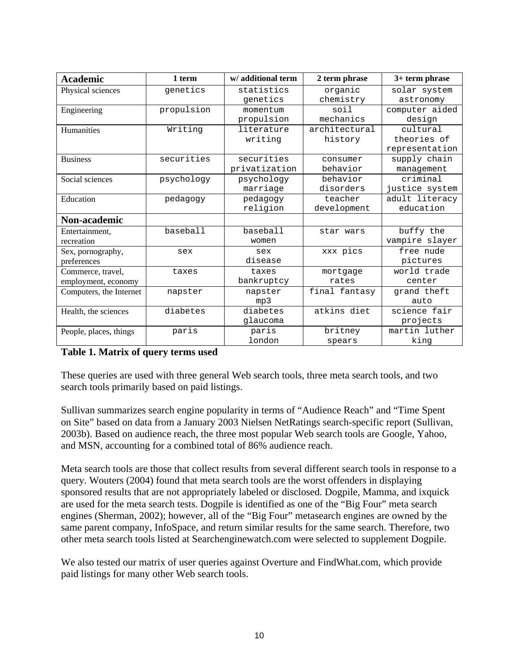| <b>Academic</b>         | 1 term     | w/additional term | 2 term phrase | 3+ term phrase |
|-------------------------|------------|-------------------|---------------|----------------|
| Physical sciences       | qenetics   | statistics        | organic       | solar system   |
|                         |            | genetics          | chemistry     | astronomy      |
| Engineering             | propulsion | momentum          | soil          | computer aided |
|                         |            | propulsion        | mechanics     | design         |
| Humanities              | Writing    | literature        | architectural | cultural       |
|                         |            | writing           | history       | theories of    |
|                         |            |                   |               | representation |
| <b>Business</b>         | securities | securities        | consumer      | supply chain   |
|                         |            | privatization     | behavior      | management     |
| Social sciences         | psychology | psychology        | behavior      | criminal       |
|                         |            | marriage          | disorders     | justice system |
| Education               | pedagogy   | pedagogy          | teacher       | adult literacy |
|                         |            | religion          | development   | education      |
| Non-academic            |            |                   |               |                |
| Entertainment,          | baseball   | baseball          | star wars     | buffy the      |
| recreation              |            | women             |               | vampire slayer |
| Sex, pornography,       | sex        | sex               | xxx pics      | free nude      |
| preferences             |            | disease           |               | pictures       |
| Commerce, travel,       | taxes      | taxes             | mortgage      | world trade    |
| employment, economy     |            | bankruptcy        | rates         | center         |
| Computers, the Internet | napster    | napster           | final fantasy | grand theft    |
|                         |            | mp3               |               | auto           |
| Health, the sciences    | diabetes   | diabetes          | atkins diet   | science fair   |
|                         |            | qlaucoma          |               | projects       |
| People, places, things  | paris      | paris             | britney       | martin luther  |
|                         |            | london            | spears        | king           |

#### **Table 1. Matrix of query terms used**

These queries are used with three general Web search tools, three meta search tools, and two search tools primarily based on paid listings.

Sullivan summarizes search engine popularity in terms of "Audience Reach" and "Time Spent on Site" based on data from a January 2003 Nielsen NetRatings search-specific report (Sullivan, 2003b). Based on audience reach, the three most popular Web search tools are Google, Yahoo, and MSN, accounting for a combined total of 86% audience reach.

Meta search tools are those that collect results from several different search tools in response to a query. Wouters (2004) found that meta search tools are the worst offenders in displaying sponsored results that are not appropriately labeled or disclosed. Dogpile, Mamma, and ixquick are used for the meta search tests. Dogpile is identified as one of the "Big Four" meta search engines (Sherman, 2002); however, all of the "Big Four" metasearch engines are owned by the same parent company, InfoSpace, and return similar results for the same search. Therefore, two other meta search tools listed at Searchenginewatch.com were selected to supplement Dogpile.

We also tested our matrix of user queries against Overture and FindWhat.com, which provide paid listings for many other Web search tools.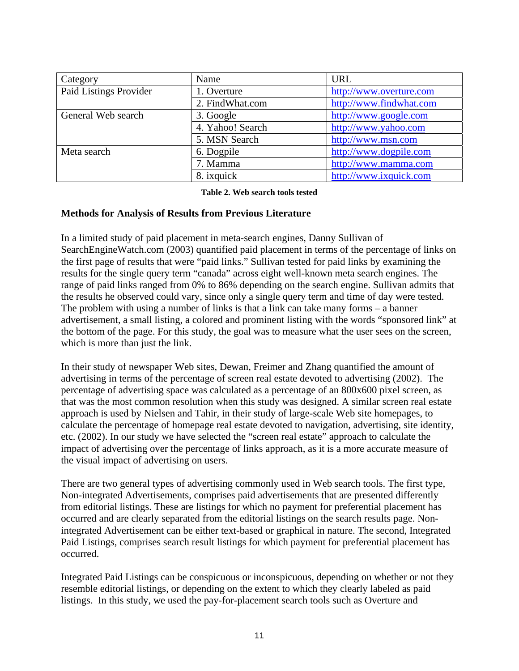| Category               | Name             | <b>URL</b>              |
|------------------------|------------------|-------------------------|
| Paid Listings Provider | 1. Overture      | http://www.overture.com |
|                        | 2. FindWhat.com  | http://www.findwhat.com |
| General Web search     | 3. Google        | http://www.google.com   |
|                        | 4. Yahoo! Search | http://www.yahoo.com    |
|                        | 5. MSN Search    | http://www.msn.com      |
| Meta search            | 6. Dogpile       | http://www.dogpile.com  |
|                        | 7. Mamma         | http://www.mamma.com    |
|                        | 8. ixquick       | http://www.ixquick.com  |

**Table 2. Web search tools tested** 

#### **Methods for Analysis of Results from Previous Literature**

In a limited study of paid placement in meta-search engines, Danny Sullivan of SearchEngineWatch.com (2003) quantified paid placement in terms of the percentage of links on the first page of results that were "paid links." Sullivan tested for paid links by examining the results for the single query term "canada" across eight well-known meta search engines. The range of paid links ranged from 0% to 86% depending on the search engine. Sullivan admits that the results he observed could vary, since only a single query term and time of day were tested. The problem with using a number of links is that a link can take many forms – a banner advertisement, a small listing, a colored and prominent listing with the words "sponsored link" at the bottom of the page. For this study, the goal was to measure what the user sees on the screen, which is more than just the link.

In their study of newspaper Web sites, Dewan, Freimer and Zhang quantified the amount of advertising in terms of the percentage of screen real estate devoted to advertising (2002). The percentage of advertising space was calculated as a percentage of an 800x600 pixel screen, as that was the most common resolution when this study was designed. A similar screen real estate approach is used by Nielsen and Tahir, in their study of large-scale Web site homepages, to calculate the percentage of homepage real estate devoted to navigation, advertising, site identity, etc. (2002). In our study we have selected the "screen real estate" approach to calculate the impact of advertising over the percentage of links approach, as it is a more accurate measure of the visual impact of advertising on users.

There are two general types of advertising commonly used in Web search tools. The first type, Non-integrated Advertisements, comprises paid advertisements that are presented differently from editorial listings. These are listings for which no payment for preferential placement has occurred and are clearly separated from the editorial listings on the search results page. Nonintegrated Advertisement can be either text-based or graphical in nature. The second, Integrated Paid Listings, comprises search result listings for which payment for preferential placement has occurred.

Integrated Paid Listings can be conspicuous or inconspicuous, depending on whether or not they resemble editorial listings, or depending on the extent to which they clearly labeled as paid listings. In this study, we used the pay-for-placement search tools such as Overture and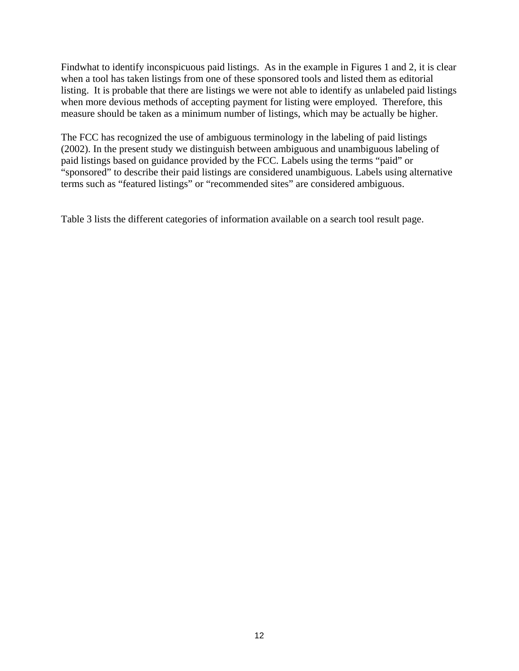Findwhat to identify inconspicuous paid listings. As in the example in Figures 1 and 2, it is clear when a tool has taken listings from one of these sponsored tools and listed them as editorial listing. It is probable that there are listings we were not able to identify as unlabeled paid listings when more devious methods of accepting payment for listing were employed. Therefore, this measure should be taken as a minimum number of listings, which may be actually be higher.

The FCC has recognized the use of ambiguous terminology in the labeling of paid listings (2002). In the present study we distinguish between ambiguous and unambiguous labeling of paid listings based on guidance provided by the FCC. Labels using the terms "paid" or "sponsored" to describe their paid listings are considered unambiguous. Labels using alternative terms such as "featured listings" or "recommended sites" are considered ambiguous.

Table 3 lists the different categories of information available on a search tool result page.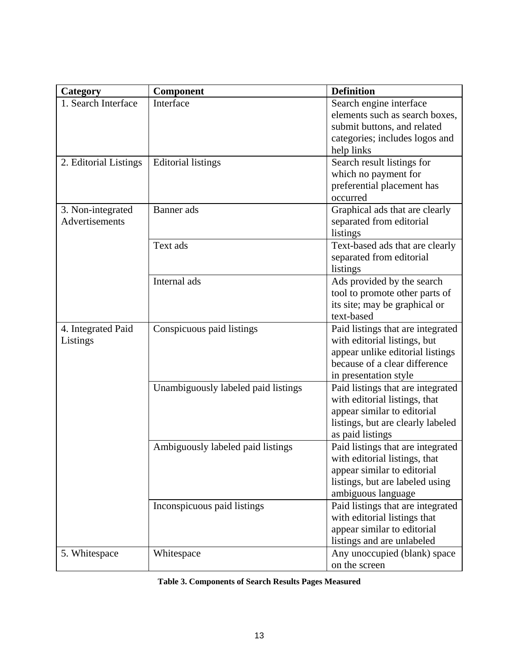| Category              | Component                           | <b>Definition</b>                 |
|-----------------------|-------------------------------------|-----------------------------------|
| 1. Search Interface   | Interface                           | Search engine interface           |
|                       |                                     | elements such as search boxes,    |
|                       |                                     | submit buttons, and related       |
|                       |                                     | categories; includes logos and    |
|                       |                                     | help links                        |
| 2. Editorial Listings | <b>Editorial listings</b>           | Search result listings for        |
|                       |                                     | which no payment for              |
|                       |                                     | preferential placement has        |
|                       |                                     | occurred                          |
| 3. Non-integrated     | Banner ads                          | Graphical ads that are clearly    |
| Advertisements        |                                     | separated from editorial          |
|                       |                                     | listings                          |
|                       | Text ads                            | Text-based ads that are clearly   |
|                       |                                     | separated from editorial          |
|                       |                                     | listings                          |
|                       | Internal ads                        | Ads provided by the search        |
|                       |                                     | tool to promote other parts of    |
|                       |                                     | its site; may be graphical or     |
|                       |                                     | text-based                        |
| 4. Integrated Paid    | Conspicuous paid listings           | Paid listings that are integrated |
| Listings              |                                     | with editorial listings, but      |
|                       |                                     | appear unlike editorial listings  |
|                       |                                     | because of a clear difference     |
|                       |                                     | in presentation style             |
|                       | Unambiguously labeled paid listings | Paid listings that are integrated |
|                       |                                     | with editorial listings, that     |
|                       |                                     | appear similar to editorial       |
|                       |                                     | listings, but are clearly labeled |
|                       |                                     | as paid listings                  |
|                       | Ambiguously labeled paid listings   | Paid listings that are integrated |
|                       |                                     | with editorial listings, that     |
|                       |                                     | appear similar to editorial       |
|                       |                                     | listings, but are labeled using   |
|                       |                                     | ambiguous language                |
|                       | Inconspicuous paid listings         | Paid listings that are integrated |
|                       |                                     | with editorial listings that      |
|                       |                                     | appear similar to editorial       |
|                       |                                     | listings and are unlabeled        |
| 5. Whitespace         | Whitespace                          | Any unoccupied (blank) space      |
|                       |                                     | on the screen                     |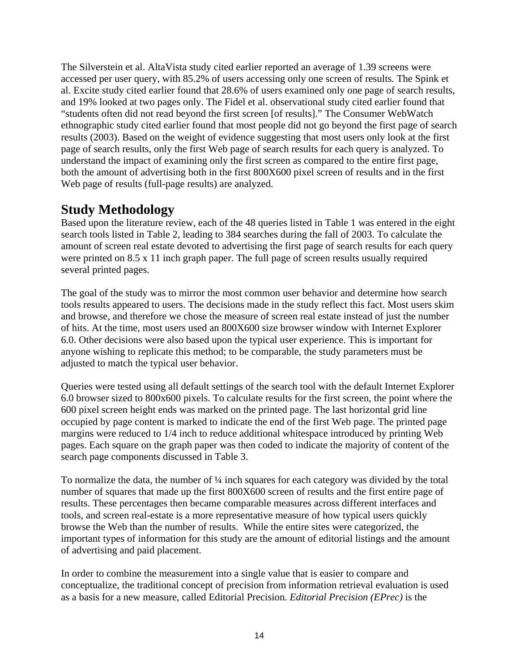The Silverstein et al. AltaVista study cited earlier reported an average of 1.39 screens were accessed per user query, with 85.2% of users accessing only one screen of results. The Spink et al. Excite study cited earlier found that 28.6% of users examined only one page of search results, and 19% looked at two pages only. The Fidel et al. observational study cited earlier found that "students often did not read beyond the first screen [of results]." The Consumer WebWatch ethnographic study cited earlier found that most people did not go beyond the first page of search results (2003). Based on the weight of evidence suggesting that most users only look at the first page of search results, only the first Web page of search results for each query is analyzed. To understand the impact of examining only the first screen as compared to the entire first page, both the amount of advertising both in the first 800X600 pixel screen of results and in the first Web page of results (full-page results) are analyzed.

### **Study Methodology**

Based upon the literature review, each of the 48 queries listed in Table 1 was entered in the eight search tools listed in Table 2, leading to 384 searches during the fall of 2003. To calculate the amount of screen real estate devoted to advertising the first page of search results for each query were printed on 8.5 x 11 inch graph paper. The full page of screen results usually required several printed pages.

The goal of the study was to mirror the most common user behavior and determine how search tools results appeared to users. The decisions made in the study reflect this fact. Most users skim and browse, and therefore we chose the measure of screen real estate instead of just the number of hits. At the time, most users used an 800X600 size browser window with Internet Explorer 6.0. Other decisions were also based upon the typical user experience. This is important for anyone wishing to replicate this method; to be comparable, the study parameters must be adjusted to match the typical user behavior.

Queries were tested using all default settings of the search tool with the default Internet Explorer 6.0 browser sized to 800x600 pixels. To calculate results for the first screen, the point where the 600 pixel screen height ends was marked on the printed page. The last horizontal grid line occupied by page content is marked to indicate the end of the first Web page. The printed page margins were reduced to 1/4 inch to reduce additional whitespace introduced by printing Web pages. Each square on the graph paper was then coded to indicate the majority of content of the search page components discussed in Table 3.

To normalize the data, the number of ¼ inch squares for each category was divided by the total number of squares that made up the first 800X600 screen of results and the first entire page of results. These percentages then became comparable measures across different interfaces and tools, and screen real-estate is a more representative measure of how typical users quickly browse the Web than the number of results. While the entire sites were categorized, the important types of information for this study are the amount of editorial listings and the amount of advertising and paid placement.

In order to combine the measurement into a single value that is easier to compare and conceptualize, the traditional concept of precision from information retrieval evaluation is used as a basis for a new measure, called Editorial Precision. *Editorial Precision (EPrec)* is the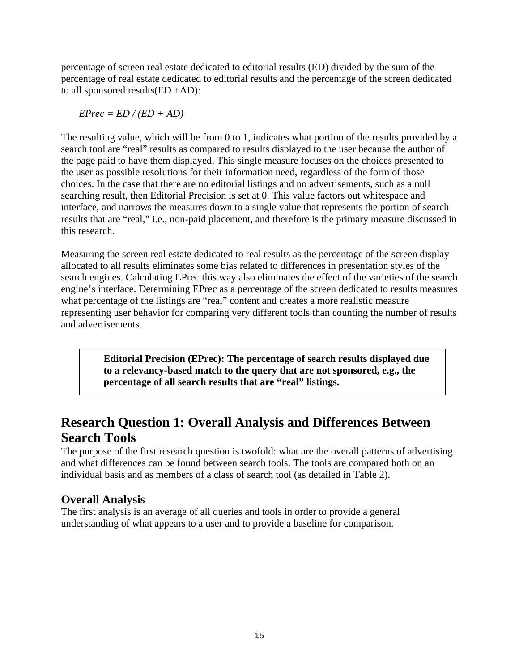percentage of screen real estate dedicated to editorial results (ED) divided by the sum of the percentage of real estate dedicated to editorial results and the percentage of the screen dedicated to all sponsored results(ED +AD):

 $EPrec = ED / (ED + AD)$ 

The resulting value, which will be from 0 to 1, indicates what portion of the results provided by a search tool are "real" results as compared to results displayed to the user because the author of the page paid to have them displayed. This single measure focuses on the choices presented to the user as possible resolutions for their information need, regardless of the form of those choices. In the case that there are no editorial listings and no advertisements, such as a null searching result, then Editorial Precision is set at 0. This value factors out whitespace and interface, and narrows the measures down to a single value that represents the portion of search results that are "real," i.e., non-paid placement, and therefore is the primary measure discussed in this research.

Measuring the screen real estate dedicated to real results as the percentage of the screen display allocated to all results eliminates some bias related to differences in presentation styles of the search engines. Calculating EPrec this way also eliminates the effect of the varieties of the search engine's interface. Determining EPrec as a percentage of the screen dedicated to results measures what percentage of the listings are "real" content and creates a more realistic measure representing user behavior for comparing very different tools than counting the number of results and advertisements.

> **Editorial Precision (EPrec): The percentage of search results displayed due to a relevancy-based match to the query that are not sponsored, e.g., the percentage of all search results that are "real" listings.**

## **Research Question 1: Overall Analysis and Differences Between Search Tools**

The purpose of the first research question is twofold: what are the overall patterns of advertising and what differences can be found between search tools. The tools are compared both on an individual basis and as members of a class of search tool (as detailed in Table 2).

### **Overall Analysis**

The first analysis is an average of all queries and tools in order to provide a general understanding of what appears to a user and to provide a baseline for comparison.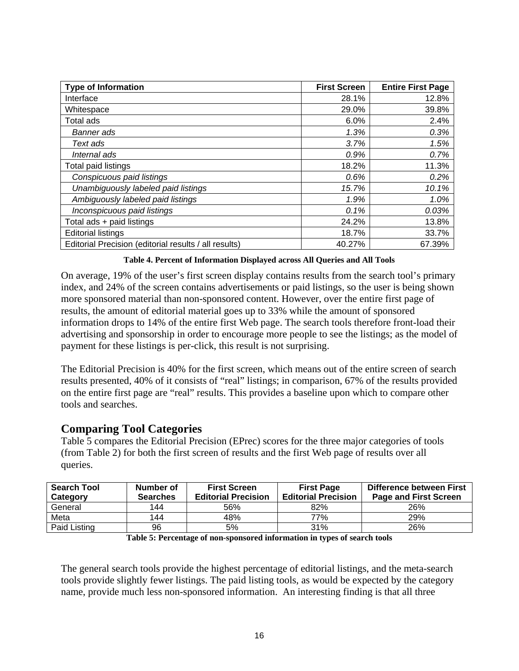| <b>Type of Information</b>                            | <b>First Screen</b> | <b>Entire First Page</b> |
|-------------------------------------------------------|---------------------|--------------------------|
| Interface                                             | 28.1%               | 12.8%                    |
| Whitespace                                            | 29.0%               | 39.8%                    |
| Total ads                                             | 6.0%                | 2.4%                     |
| Banner ads                                            | 1.3%                | 0.3%                     |
| Text ads                                              | 3.7%                | 1.5%                     |
| Internal ads                                          | 0.9%                | 0.7%                     |
| Total paid listings                                   | 18.2%               | 11.3%                    |
| Conspicuous paid listings                             | 0.6%                | 0.2%                     |
| Unambiguously labeled paid listings                   | 15.7%               | 10.1%                    |
| Ambiguously labeled paid listings                     | 1.9%                | 1.0%                     |
| Inconspicuous paid listings                           | 0.1%                | 0.03%                    |
| Total ads + paid listings                             | 24.2%               | 13.8%                    |
| <b>Editorial listings</b>                             | 18.7%               | 33.7%                    |
| Editorial Precision (editorial results / all results) | 40.27%              | 67.39%                   |

**Table 4. Percent of Information Displayed across All Queries and All Tools** 

On average, 19% of the user's first screen display contains results from the search tool's primary index, and 24% of the screen contains advertisements or paid listings, so the user is being shown more sponsored material than non-sponsored content. However, over the entire first page of results, the amount of editorial material goes up to 33% while the amount of sponsored information drops to 14% of the entire first Web page. The search tools therefore front-load their advertising and sponsorship in order to encourage more people to see the listings; as the model of payment for these listings is per-click, this result is not surprising.

The Editorial Precision is 40% for the first screen, which means out of the entire screen of search results presented, 40% of it consists of "real" listings; in comparison, 67% of the results provided on the entire first page are "real" results. This provides a baseline upon which to compare other tools and searches.

### **Comparing Tool Categories**

Table 5 compares the Editorial Precision (EPrec) scores for the three major categories of tools (from Table 2) for both the first screen of results and the first Web page of results over all queries.

| <b>Search Tool</b><br>Category | Number of<br><b>Searches</b> | <b>First Screen</b><br><b>Editorial Precision</b> | <b>First Page</b><br><b>Editorial Precision</b> | Difference between First<br><b>Page and First Screen</b> |
|--------------------------------|------------------------------|---------------------------------------------------|-------------------------------------------------|----------------------------------------------------------|
| General                        | 144                          | 56%                                               | 82%                                             | 26%                                                      |
| Meta                           | 144                          | 48%                                               | 77%                                             | <b>29%</b>                                               |
| Paid Listing                   | 96                           | 5%                                                | 31%                                             | 26%                                                      |

**Table 5: Percentage of non-sponsored information in types of search tools** 

The general search tools provide the highest percentage of editorial listings, and the meta-search tools provide slightly fewer listings. The paid listing tools, as would be expected by the category name, provide much less non-sponsored information. An interesting finding is that all three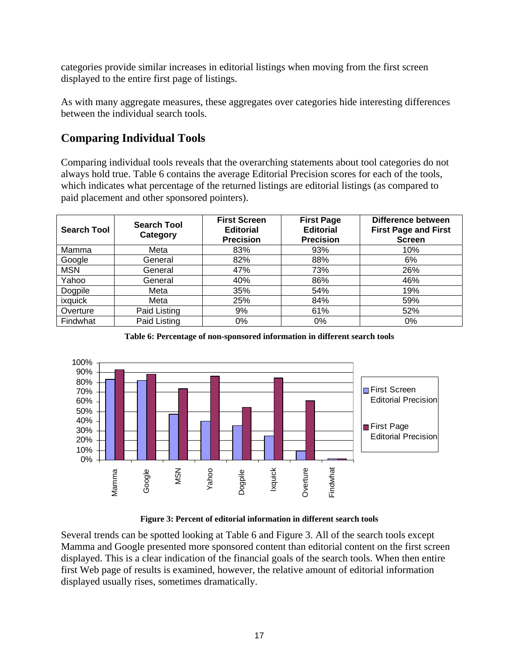categories provide similar increases in editorial listings when moving from the first screen displayed to the entire first page of listings.

As with many aggregate measures, these aggregates over categories hide interesting differences between the individual search tools.

### **Comparing Individual Tools**

Comparing individual tools reveals that the overarching statements about tool categories do not always hold true. Table 6 contains the average Editorial Precision scores for each of the tools, which indicates what percentage of the returned listings are editorial listings (as compared to paid placement and other sponsored pointers).

| <b>Search Tool</b> | <b>Search Tool</b><br>Category | <b>First Screen</b><br><b>Editorial</b><br><b>Precision</b> | <b>First Page</b><br><b>Editorial</b><br><b>Precision</b> | Difference between<br><b>First Page and First</b><br><b>Screen</b> |
|--------------------|--------------------------------|-------------------------------------------------------------|-----------------------------------------------------------|--------------------------------------------------------------------|
| Mamma              | Meta                           | 83%                                                         | 93%                                                       | 10%                                                                |
| Google             | General                        | 82%                                                         | 88%                                                       | 6%                                                                 |
| <b>MSN</b>         | General                        | 47%                                                         | 73%                                                       | 26%                                                                |
| Yahoo              | General                        | 40%                                                         | 86%                                                       | 46%                                                                |
| Dogpile            | Meta                           | 35%                                                         | 54%                                                       | 19%                                                                |
| ixquick            | Meta                           | 25%                                                         | 84%                                                       | 59%                                                                |
| Overture           | Paid Listing                   | 9%                                                          | 61%                                                       | 52%                                                                |
| Findwhat           | Paid Listing                   | 0%                                                          | $0\%$                                                     | 0%                                                                 |

**Table 6: Percentage of non-sponsored information in different search tools** 



**Figure 3: Percent of editorial information in different search tools** 

Several trends can be spotted looking at Table 6 and Figure 3. All of the search tools except Mamma and Google presented more sponsored content than editorial content on the first screen displayed. This is a clear indication of the financial goals of the search tools. When then entire first Web page of results is examined, however, the relative amount of editorial information displayed usually rises, sometimes dramatically.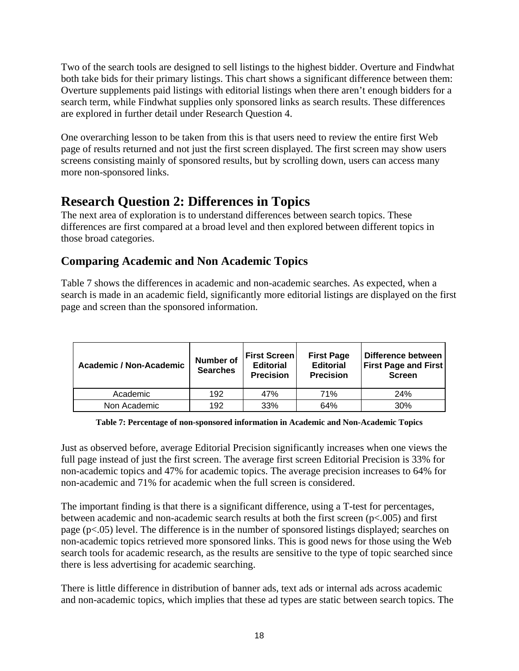Two of the search tools are designed to sell listings to the highest bidder. Overture and Findwhat both take bids for their primary listings. This chart shows a significant difference between them: Overture supplements paid listings with editorial listings when there aren't enough bidders for a search term, while Findwhat supplies only sponsored links as search results. These differences are explored in further detail under Research Question 4.

One overarching lesson to be taken from this is that users need to review the entire first Web page of results returned and not just the first screen displayed. The first screen may show users screens consisting mainly of sponsored results, but by scrolling down, users can access many more non-sponsored links.

## **Research Question 2: Differences in Topics**

The next area of exploration is to understand differences between search topics. These differences are first compared at a broad level and then explored between different topics in those broad categories.

### **Comparing Academic and Non Academic Topics**

Table 7 shows the differences in academic and non-academic searches. As expected, when a search is made in an academic field, significantly more editorial listings are displayed on the first page and screen than the sponsored information.

| <b>Academic / Non-Academic</b> | Number of<br><b>Searches</b> | <b>First Screen</b><br><b>Editorial</b><br><b>Precision</b> | <b>First Page</b><br><b>Editorial</b><br><b>Precision</b> | Difference between<br><b>First Page and First</b><br><b>Screen</b> |
|--------------------------------|------------------------------|-------------------------------------------------------------|-----------------------------------------------------------|--------------------------------------------------------------------|
| Academic                       | 192                          | 47%                                                         | 71%                                                       | 24%                                                                |
| Non Academic                   | 192                          | 33%                                                         | 64%                                                       | 30%                                                                |

**Table 7: Percentage of non-sponsored information in Academic and Non-Academic Topics** 

Just as observed before, average Editorial Precision significantly increases when one views the full page instead of just the first screen. The average first screen Editorial Precision is 33% for non-academic topics and 47% for academic topics. The average precision increases to 64% for non-academic and 71% for academic when the full screen is considered.

The important finding is that there is a significant difference, using a T-test for percentages, between academic and non-academic search results at both the first screen (p<.005) and first page (p<.05) level. The difference is in the number of sponsored listings displayed; searches on non-academic topics retrieved more sponsored links. This is good news for those using the Web search tools for academic research, as the results are sensitive to the type of topic searched since there is less advertising for academic searching.

There is little difference in distribution of banner ads, text ads or internal ads across academic and non-academic topics, which implies that these ad types are static between search topics. The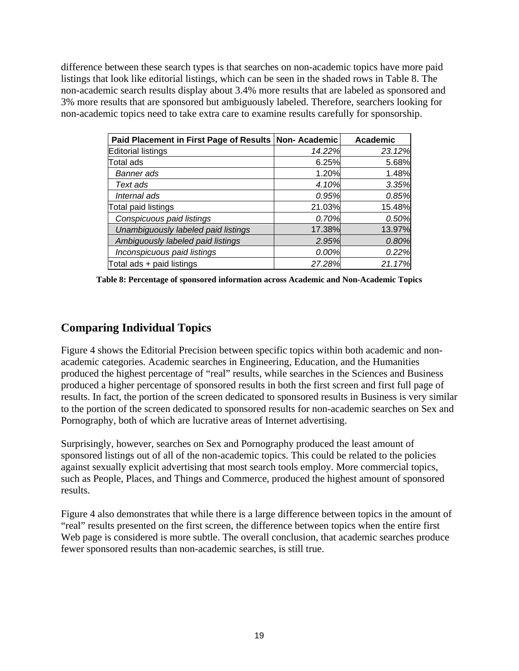difference between these search types is that searches on non-academic topics have more paid listings that look like editorial listings, which can be seen in the shaded rows in Table 8. The non-academic search results display about 3.4% more results that are labeled as sponsored and 3% more results that are sponsored but ambiguously labeled. Therefore, searchers looking for non-academic topics need to take extra care to examine results carefully for sponsorship.

| Paid Placement in First Page of Results Non-Academic |        | <b>Academic</b> |
|------------------------------------------------------|--------|-----------------|
| <b>Editorial listings</b>                            | 14.22% | 23.12%          |
| <b>Total ads</b>                                     | 6.25%  | 5.68%           |
| Banner ads                                           | 1.20%  | 1.48%           |
| Text ads                                             | 4.10%  | 3.35%           |
| Internal ads                                         | 0.95%  | 0.85%           |
| Total paid listings                                  | 21.03% | 15.48%          |
| Conspicuous paid listings                            | 0.70%  | 0.50%           |
| Unambiguously labeled paid listings                  | 17.38% | 13.97%          |
| Ambiguously labeled paid listings                    | 2.95%  | 0.80%           |
| Inconspicuous paid listings                          | 0.00%  | 0.22%           |
| Total ads + paid listings                            | 27.28% | 21.17%          |

**Table 8: Percentage of sponsored information across Academic and Non-Academic Topics** 

### **Comparing Individual Topics**

Figure 4 shows the Editorial Precision between specific topics within both academic and nonacademic categories. Academic searches in Engineering, Education, and the Humanities produced the highest percentage of "real" results, while searches in the Sciences and Business produced a higher percentage of sponsored results in both the first screen and first full page of results. In fact, the portion of the screen dedicated to sponsored results in Business is very similar to the portion of the screen dedicated to sponsored results for non-academic searches on Sex and Pornography, both of which are lucrative areas of Internet advertising.

Surprisingly, however, searches on Sex and Pornography produced the least amount of sponsored listings out of all of the non-academic topics. This could be related to the policies against sexually explicit advertising that most search tools employ. More commercial topics, such as People, Places, and Things and Commerce, produced the highest amount of sponsored results.

Figure 4 also demonstrates that while there is a large difference between topics in the amount of "real" results presented on the first screen, the difference between topics when the entire first Web page is considered is more subtle. The overall conclusion, that academic searches produce fewer sponsored results than non-academic searches, is still true.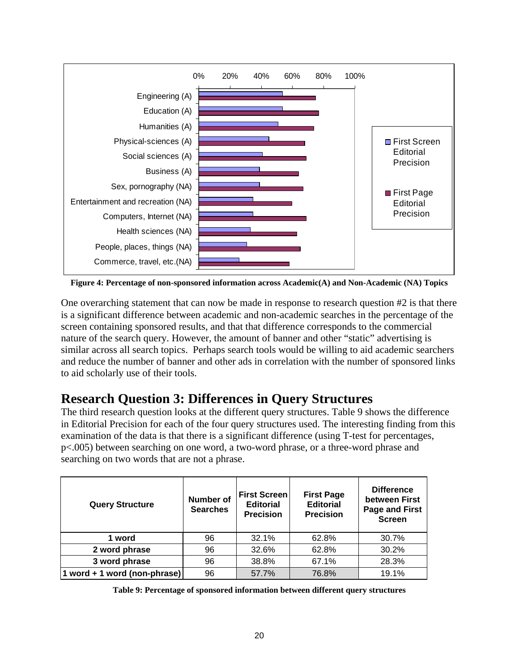

**Figure 4: Percentage of non-sponsored information across Academic(A) and Non-Academic (NA) Topics** 

One overarching statement that can now be made in response to research question #2 is that there is a significant difference between academic and non-academic searches in the percentage of the screen containing sponsored results, and that that difference corresponds to the commercial nature of the search query. However, the amount of banner and other "static" advertising is similar across all search topics. Perhaps search tools would be willing to aid academic searchers and reduce the number of banner and other ads in correlation with the number of sponsored links to aid scholarly use of their tools.

# **Research Question 3: Differences in Query Structures**

The third research question looks at the different query structures. Table 9 shows the difference in Editorial Precision for each of the four query structures used. The interesting finding from this examination of the data is that there is a significant difference (using T-test for percentages, p<.005) between searching on one word, a two-word phrase, or a three-word phrase and searching on two words that are not a phrase.

| <b>Query Structure</b>       | <b>Number of</b><br><b>Searches</b> | <b>First Screen</b><br><b>Editorial</b><br><b>Precision</b> | <b>First Page</b><br><b>Editorial</b><br><b>Precision</b> | <b>Difference</b><br>between First<br><b>Page and First</b><br><b>Screen</b> |
|------------------------------|-------------------------------------|-------------------------------------------------------------|-----------------------------------------------------------|------------------------------------------------------------------------------|
| 1 word                       | 96                                  | 32.1%                                                       | 62.8%                                                     | 30.7%                                                                        |
| 2 word phrase                | 96                                  | 32.6%                                                       | 62.8%                                                     | 30.2%                                                                        |
| 3 word phrase                | 96                                  | 38.8%                                                       | 67.1%                                                     | 28.3%                                                                        |
| 1 word + 1 word (non-phrase) | 96                                  | 57.7%                                                       | 76.8%                                                     | 19.1%                                                                        |

| Table 9: Percentage of sponsored information between different query structures |  |  |  |  |  |
|---------------------------------------------------------------------------------|--|--|--|--|--|
|---------------------------------------------------------------------------------|--|--|--|--|--|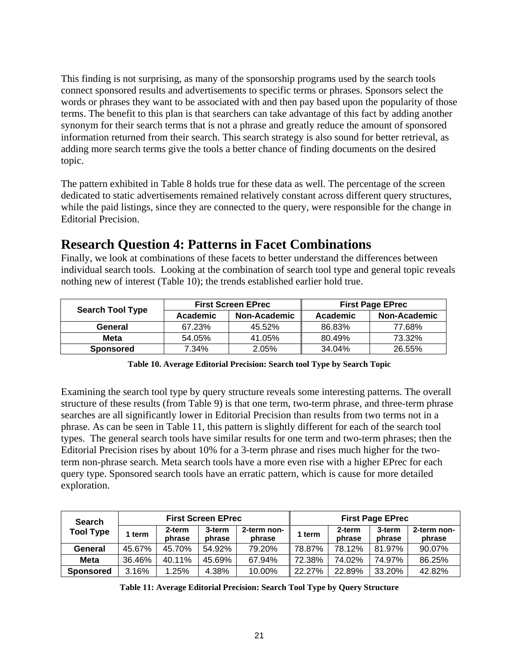This finding is not surprising, as many of the sponsorship programs used by the search tools connect sponsored results and advertisements to specific terms or phrases. Sponsors select the words or phrases they want to be associated with and then pay based upon the popularity of those terms. The benefit to this plan is that searchers can take advantage of this fact by adding another synonym for their search terms that is not a phrase and greatly reduce the amount of sponsored information returned from their search. This search strategy is also sound for better retrieval, as adding more search terms give the tools a better chance of finding documents on the desired topic.

The pattern exhibited in Table 8 holds true for these data as well. The percentage of the screen dedicated to static advertisements remained relatively constant across different query structures, while the paid listings, since they are connected to the query, were responsible for the change in Editorial Precision.

## **Research Question 4: Patterns in Facet Combinations**

Finally, we look at combinations of these facets to better understand the differences between individual search tools. Looking at the combination of search tool type and general topic reveals nothing new of interest (Table 10); the trends established earlier hold true.

|                         |          | <b>First Screen EPrec</b> | <b>First Page EPrec</b> |              |  |
|-------------------------|----------|---------------------------|-------------------------|--------------|--|
| <b>Search Tool Type</b> | Academic | Non-Academic              | Academic                | Non-Academic |  |
| General                 | 67.23%   | 45.52%                    | 86.83%                  | 77.68%       |  |
| <b>Meta</b>             | 54.05%   | 41.05%                    | 80.49%                  | 73.32%       |  |
| <b>Sponsored</b>        | 7.34%    | 2.05%                     | 34.04%                  | 26.55%       |  |

| Table 10. Average Editorial Precision: Search tool Type by Search Topic |  |  |
|-------------------------------------------------------------------------|--|--|
|                                                                         |  |  |

Examining the search tool type by query structure reveals some interesting patterns. The overall structure of these results (from Table 9) is that one term, two-term phrase, and three-term phrase searches are all significantly lower in Editorial Precision than results from two terms not in a phrase. As can be seen in Table 11, this pattern is slightly different for each of the search tool types. The general search tools have similar results for one term and two-term phrases; then the Editorial Precision rises by about 10% for a 3-term phrase and rises much higher for the twoterm non-phrase search. Meta search tools have a more even rise with a higher EPrec for each query type. Sponsored search tools have an erratic pattern, which is cause for more detailed exploration.

| <b>Search</b>    | <b>First Screen EPrec</b> |                  |                  |                       | <b>First Page EPrec</b> |                  |                  |                       |
|------------------|---------------------------|------------------|------------------|-----------------------|-------------------------|------------------|------------------|-----------------------|
| <b>Tool Type</b> | term                      | 2-term<br>phrase | 3-term<br>phrase | 2-term non-<br>phrase | 1 term                  | 2-term<br>phrase | 3-term<br>phrase | 2-term non-<br>phrase |
| General          | 45.67%                    | 45.70%           | 54.92%           | 79.20%                | 78.87%                  | 78.12%           | 81.97%           | 90.07%                |
| <b>Meta</b>      | 36.46%                    | 40.11%           | 45.69%           | 67.94%                | 72.38%                  | 74.02%           | 74.97%           | 86.25%                |
| <b>Sponsored</b> | 3.16%                     | 1.25%            | 4.38%            | 10.00%                | 22.27%                  | 22.89%           | 33.20%           | 42.82%                |

**Table 11: Average Editorial Precision: Search Tool Type by Query Structure**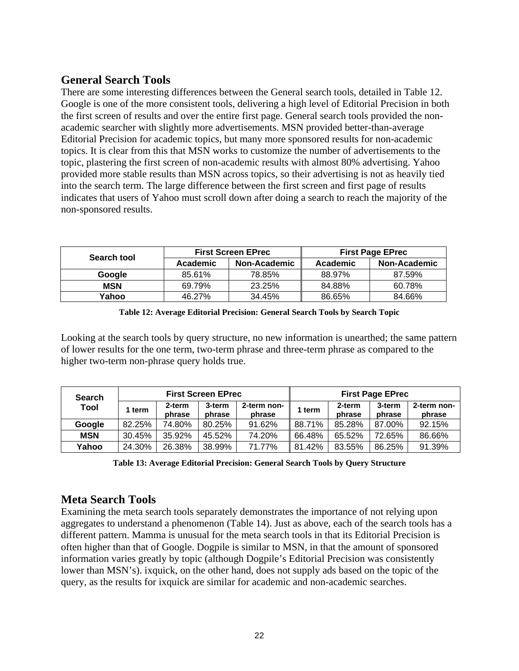### **General Search Tools**

There are some interesting differences between the General search tools, detailed in Table 12. Google is one of the more consistent tools, delivering a high level of Editorial Precision in both the first screen of results and over the entire first page. General search tools provided the nonacademic searcher with slightly more advertisements. MSN provided better-than-average Editorial Precision for academic topics, but many more sponsored results for non-academic topics. It is clear from this that MSN works to customize the number of advertisements to the topic, plastering the first screen of non-academic results with almost 80% advertising. Yahoo provided more stable results than MSN across topics, so their advertising is not as heavily tied into the search term. The large difference between the first screen and first page of results indicates that users of Yahoo must scroll down after doing a search to reach the majority of the non-sponsored results.

| Search tool |          | <b>First Screen EPrec</b> | <b>First Page EPrec</b> |              |  |
|-------------|----------|---------------------------|-------------------------|--------------|--|
|             | Academic | Non-Academic              | Academic                | Non-Academic |  |
| Google      | 85.61%   | 78.85%                    | 88.97%                  | 87.59%       |  |
| <b>MSN</b>  | 69.79%   | 23.25%                    | 84.88%                  | 60.78%       |  |
| Yahoo       | 46.27%   | 34.45%                    | 86.65%                  | 84.66%       |  |

| Table 12: Average Editorial Precision: General Search Tools by Search Topic |  |  |  |
|-----------------------------------------------------------------------------|--|--|--|
|-----------------------------------------------------------------------------|--|--|--|

Looking at the search tools by query structure, no new information is unearthed; the same pattern of lower results for the one term, two-term phrase and three-term phrase as compared to the higher two-term non-phrase query holds true.

| <b>Search</b> | <b>First Screen EPrec</b> |                  |                  | <b>First Page EPrec</b> |        |                  |                  |                       |
|---------------|---------------------------|------------------|------------------|-------------------------|--------|------------------|------------------|-----------------------|
| Tool          | term                      | 2-term<br>phrase | 3-term<br>phrase | 2-term non-<br>phrase   | 1 term | 2-term<br>phrase | 3-term<br>phrase | 2-term non-<br>phrase |
| Google        | 82.25%                    | 74.80%           | 80.25%           | 91.62%                  | 88.71% | 85.28%           | 87.00%           | 92.15%                |
| <b>MSN</b>    | 30.45%                    | 35.92%           | 45.52%           | 74.20%                  | 66.48% | 65.52%           | 72.65%           | 86.66%                |
| Yahoo         | 24.30%                    | 26.38%           | 38.99%           | 71.77%                  | 81.42% | 83.55%           | 86.25%           | 91.39%                |

**Table 13: Average Editorial Precision: General Search Tools by Query Structure** 

#### **Meta Search Tools**

Examining the meta search tools separately demonstrates the importance of not relying upon aggregates to understand a phenomenon (Table 14). Just as above, each of the search tools has a different pattern. Mamma is unusual for the meta search tools in that its Editorial Precision is often higher than that of Google. Dogpile is similar to MSN, in that the amount of sponsored information varies greatly by topic (although Dogpile's Editorial Precision was consistently lower than MSN's). ixquick, on the other hand, does not supply ads based on the topic of the query, as the results for ixquick are similar for academic and non-academic searches.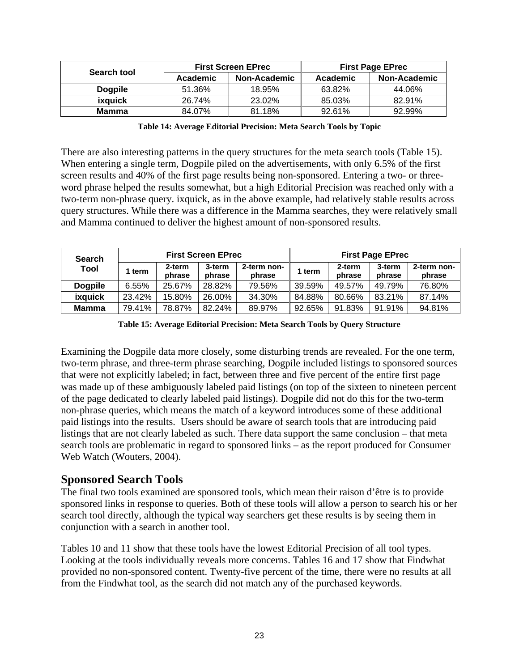| Search tool    |          | <b>First Screen EPrec</b> | <b>First Page EPrec</b> |              |  |
|----------------|----------|---------------------------|-------------------------|--------------|--|
|                | Academic | <b>Non-Academic</b>       | Academic                | Non-Academic |  |
| <b>Dogpile</b> | 51.36%   | 18.95%                    | 63.82%                  | 44.06%       |  |
| ixquick        | 26.74%   | 23.02%                    | 85.03%                  | 82.91%       |  |
| <b>Mamma</b>   | 84.07%   | 81.18%                    | 92.61%                  | 92.99%       |  |

| Table 14: Average Editorial Precision: Meta Search Tools by Topic |  |
|-------------------------------------------------------------------|--|
|                                                                   |  |

There are also interesting patterns in the query structures for the meta search tools (Table 15). When entering a single term, Dogpile piled on the advertisements, with only 6.5% of the first screen results and 40% of the first page results being non-sponsored. Entering a two- or threeword phrase helped the results somewhat, but a high Editorial Precision was reached only with a two-term non-phrase query. ixquick, as in the above example, had relatively stable results across query structures. While there was a difference in the Mamma searches, they were relatively small and Mamma continued to deliver the highest amount of non-sponsored results.

| <b>Search</b>  | <b>First Screen EPrec</b> |                  |                  | <b>First Page EPrec</b> |        |                  |                  |                       |
|----------------|---------------------------|------------------|------------------|-------------------------|--------|------------------|------------------|-----------------------|
| Tool           | term                      | 2-term<br>phrase | 3-term<br>phrase | 2-term non-<br>phrase   | 1 term | 2-term<br>phrase | 3-term<br>phrase | 2-term non-<br>phrase |
| <b>Dogpile</b> | 6.55%                     | 25.67%           | 28.82%           | 79.56%                  | 39.59% | 49.57%           | 49.79%           | 76.80%                |
| ixquick        | 23.42%                    | 15.80%           | 26.00%           | 34.30%                  | 84.88% | 80.66%           | 83.21%           | 87.14%                |
| Mamma          | 79.41%                    | 78.87%           | 82.24%           | 89.97%                  | 92.65% | 91.83%           | 91.91%           | 94.81%                |

| Table 15: Average Editorial Precision: Meta Search Tools by Query Structure |  |  |  |
|-----------------------------------------------------------------------------|--|--|--|
|-----------------------------------------------------------------------------|--|--|--|

Examining the Dogpile data more closely, some disturbing trends are revealed. For the one term, two-term phrase, and three-term phrase searching, Dogpile included listings to sponsored sources that were not explicitly labeled; in fact, between three and five percent of the entire first page was made up of these ambiguously labeled paid listings (on top of the sixteen to nineteen percent of the page dedicated to clearly labeled paid listings). Dogpile did not do this for the two-term non-phrase queries, which means the match of a keyword introduces some of these additional paid listings into the results. Users should be aware of search tools that are introducing paid listings that are not clearly labeled as such. There data support the same conclusion – that meta search tools are problematic in regard to sponsored links – as the report produced for Consumer Web Watch (Wouters, 2004).

#### **Sponsored Search Tools**

The final two tools examined are sponsored tools, which mean their raison d'être is to provide sponsored links in response to queries. Both of these tools will allow a person to search his or her search tool directly, although the typical way searchers get these results is by seeing them in conjunction with a search in another tool.

Tables 10 and 11 show that these tools have the lowest Editorial Precision of all tool types. Looking at the tools individually reveals more concerns. Tables 16 and 17 show that Findwhat provided no non-sponsored content. Twenty-five percent of the time, there were no results at all from the Findwhat tool, as the search did not match any of the purchased keywords.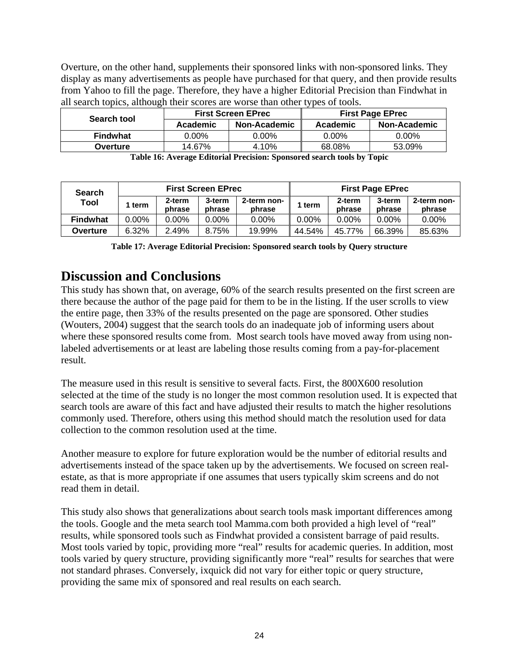Overture, on the other hand, supplements their sponsored links with non-sponsored links. They display as many advertisements as people have purchased for that query, and then provide results from Yahoo to fill the page. Therefore, they have a higher Editorial Precision than Findwhat in all search topics, although their scores are worse than other types of tools.

| Search tool     |                 | <b>First Screen EPrec</b> | <b>First Page EPrec</b> |              |  |
|-----------------|-----------------|---------------------------|-------------------------|--------------|--|
|                 | <b>Academic</b> | Non-Academic              | Academic                | Non-Academic |  |
| <b>Findwhat</b> | $0.00\%$        | $0.00\%$                  | 0.00%                   | 0.00%        |  |
| Overture        | 14.67%          | 4.10%                     | 68.08%                  | 53.09%       |  |

**Table 16: Average Editorial Precision: Sponsored search tools by Topic** 

| <b>Search</b>   | <b>First Screen EPrec</b> |                  |                  | <b>First Page EPrec</b> |          |                  |                  |                       |
|-----------------|---------------------------|------------------|------------------|-------------------------|----------|------------------|------------------|-----------------------|
| Tool            | term                      | 2-term<br>phrase | 3-term<br>phrase | 2-term non-<br>phrase   | l term   | 2-term<br>phrase | 3-term<br>phrase | 2-term non-<br>phrase |
| <b>Findwhat</b> | 0.00%                     | $0.00\%$         | $0.00\%$         | $0.00\%$                | $0.00\%$ | $0.00\%$         | $0.00\%$         | $0.00\%$              |
| Overture        | 6.32%                     | 2.49%            | 8.75%            | 19.99%                  | 44.54%   | 45.77%           | 66.39%           | 85.63%                |

**Table 17: Average Editorial Precision: Sponsored search tools by Query structure** 

### **Discussion and Conclusions**

This study has shown that, on average, 60% of the search results presented on the first screen are there because the author of the page paid for them to be in the listing. If the user scrolls to view the entire page, then 33% of the results presented on the page are sponsored. Other studies (Wouters, 2004) suggest that the search tools do an inadequate job of informing users about where these sponsored results come from. Most search tools have moved away from using nonlabeled advertisements or at least are labeling those results coming from a pay-for-placement result.

The measure used in this result is sensitive to several facts. First, the 800X600 resolution selected at the time of the study is no longer the most common resolution used. It is expected that search tools are aware of this fact and have adjusted their results to match the higher resolutions commonly used. Therefore, others using this method should match the resolution used for data collection to the common resolution used at the time.

Another measure to explore for future exploration would be the number of editorial results and advertisements instead of the space taken up by the advertisements. We focused on screen realestate, as that is more appropriate if one assumes that users typically skim screens and do not read them in detail.

This study also shows that generalizations about search tools mask important differences among the tools. Google and the meta search tool Mamma.com both provided a high level of "real" results, while sponsored tools such as Findwhat provided a consistent barrage of paid results. Most tools varied by topic, providing more "real" results for academic queries. In addition, most tools varied by query structure, providing significantly more "real" results for searches that were not standard phrases. Conversely, ixquick did not vary for either topic or query structure, providing the same mix of sponsored and real results on each search.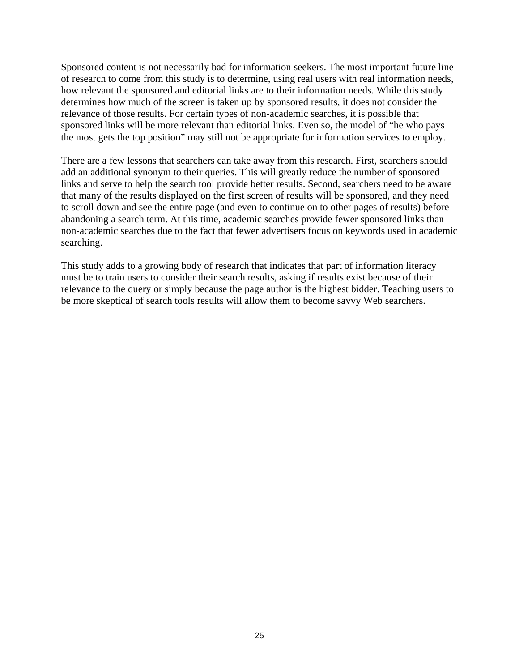Sponsored content is not necessarily bad for information seekers. The most important future line of research to come from this study is to determine, using real users with real information needs, how relevant the sponsored and editorial links are to their information needs. While this study determines how much of the screen is taken up by sponsored results, it does not consider the relevance of those results. For certain types of non-academic searches, it is possible that sponsored links will be more relevant than editorial links. Even so, the model of "he who pays the most gets the top position" may still not be appropriate for information services to employ.

There are a few lessons that searchers can take away from this research. First, searchers should add an additional synonym to their queries. This will greatly reduce the number of sponsored links and serve to help the search tool provide better results. Second, searchers need to be aware that many of the results displayed on the first screen of results will be sponsored, and they need to scroll down and see the entire page (and even to continue on to other pages of results) before abandoning a search term. At this time, academic searches provide fewer sponsored links than non-academic searches due to the fact that fewer advertisers focus on keywords used in academic searching.

This study adds to a growing body of research that indicates that part of information literacy must be to train users to consider their search results, asking if results exist because of their relevance to the query or simply because the page author is the highest bidder. Teaching users to be more skeptical of search tools results will allow them to become savvy Web searchers.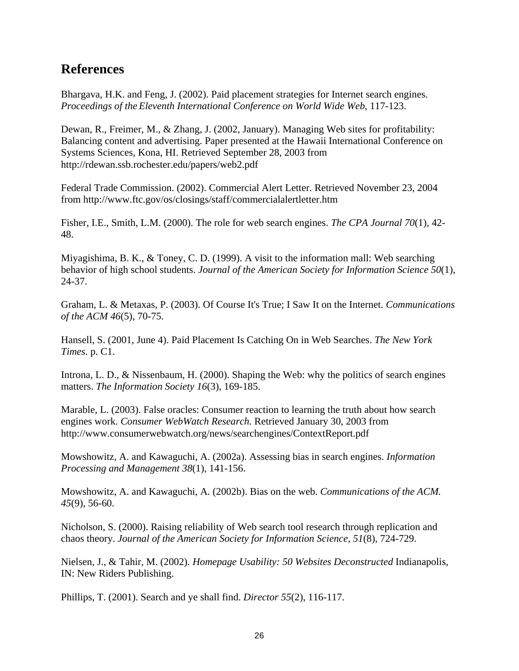### **References**

Bhargava, H.K. and Feng, J. (2002). Paid placement strategies for Internet search engines. *Proceedings of the Eleventh International Conference on World Wide Web*, 117-123.

Dewan, R., Freimer, M., & Zhang, J. (2002, January). Managing Web sites for profitability: Balancing content and advertising. Paper presented at the Hawaii International Conference on Systems Sciences, Kona, HI. Retrieved September 28, 2003 from http://rdewan.ssb.rochester.edu/papers/web2.pdf

Federal Trade Commission. (2002). Commercial Alert Letter. Retrieved November 23, 2004 from http://www.ftc.gov/os/closings/staff/commercialalertletter.htm

Fisher, I.E., Smith, L.M. (2000). The role for web search engines. *The CPA Journal 70*(1), 42- 48.

Miyagishima, B. K., & Toney, C. D. (1999). A visit to the information mall: Web searching behavior of high school students. *Journal of the American Society for Information Science 50*(1), 24-37.

Graham, L. & Metaxas, P. (2003). Of Course It's True; I Saw It on the Internet. *Communications of the ACM 46*(5), 70-75.

Hansell, S. (2001, June 4). Paid Placement Is Catching On in Web Searches. *The New York Times*. p. C1.

Introna, L. D., & Nissenbaum, H. (2000). Shaping the Web: why the politics of search engines matters. *The Information Society 16*(3), 169-185.

Marable, L. (2003). False oracles: Consumer reaction to learning the truth about how search engines work. *Consumer WebWatch Research.* Retrieved January 30, 2003 from http://www.consumerwebwatch.org/news/searchengines/ContextReport.pdf

Mowshowitz, A. and Kawaguchi, A. (2002a). Assessing bias in search engines. *Information Processing and Management 38*(1), 141-156.

Mowshowitz, A. and Kawaguchi, A. (2002b). Bias on the web. *Communications of the ACM. 45*(9), 56-60.

Nicholson, S. (2000). Raising reliability of Web search tool research through replication and chaos theory. *Journal of the American Society for Information Science, 51*(8), 724-729.

Nielsen, J., & Tahir, M. (2002). *Homepage Usability: 50 Websites Deconstructed* Indianapolis, IN: New Riders Publishing.

Phillips, T. (2001). Search and ye shall find. *Director 55*(2), 116-117.